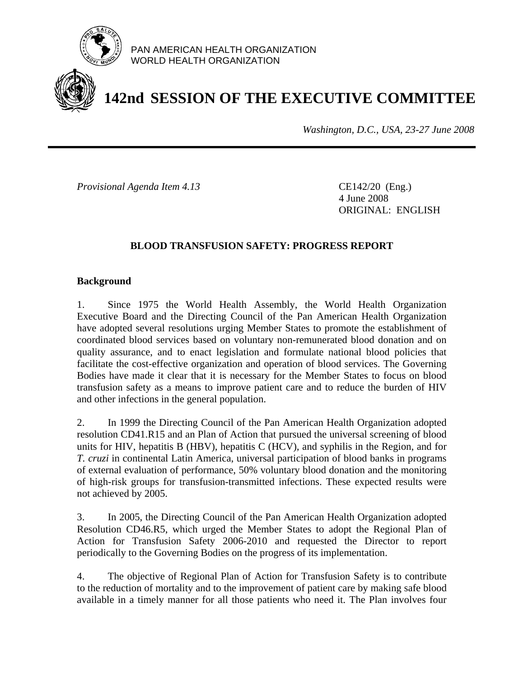

PAN AMERICAN HEALTH ORGANIZATION WORLD HEALTH ORGANIZATION

# **142nd SESSION OF THE EXECUTIVE COMMITTEE**

*Washington, D.C., USA, 23-27 June 2008*

*Provisional Agenda Item 4.13* CE142/20 (Eng.)

 4 June 2008 ORIGINAL: ENGLISH

# **BLOOD TRANSFUSION SAFETY: PROGRESS REPORT**

# **Background**

1. Since 1975 the World Health Assembly, the World Health Organization Executive Board and the Directing Council of the Pan American Health Organization have adopted several resolutions urging Member States to promote the establishment of coordinated blood services based on voluntary non-remunerated blood donation and on quality assurance, and to enact legislation and formulate national blood policies that facilitate the cost-effective organization and operation of blood services. The Governing Bodies have made it clear that it is necessary for the Member States to focus on blood transfusion safety as a means to improve patient care and to reduce the burden of HIV and other infections in the general population.

2. In 1999 the Directing Council of the Pan American Health Organization adopted resolution CD41.R15 and an Plan of Action that pursued the universal screening of blood units for HIV, hepatitis B (HBV), hepatitis C (HCV), and syphilis in the Region, and for *T. cruzi* in continental Latin America, universal participation of blood banks in programs of external evaluation of performance, 50% voluntary blood donation and the monitoring of high-risk groups for transfusion-transmitted infections. These expected results were not achieved by 2005.

3. In 2005, the Directing Council of the Pan American Health Organization adopted Resolution CD46.R5, which urged the Member States to adopt the Regional Plan of Action for Transfusion Safety 2006-2010 and requested the Director to report periodically to the Governing Bodies on the progress of its implementation.

4. The objective of Regional Plan of Action for Transfusion Safety is to contribute to the reduction of mortality and to the improvement of patient care by making safe blood available in a timely manner for all those patients who need it. The Plan involves four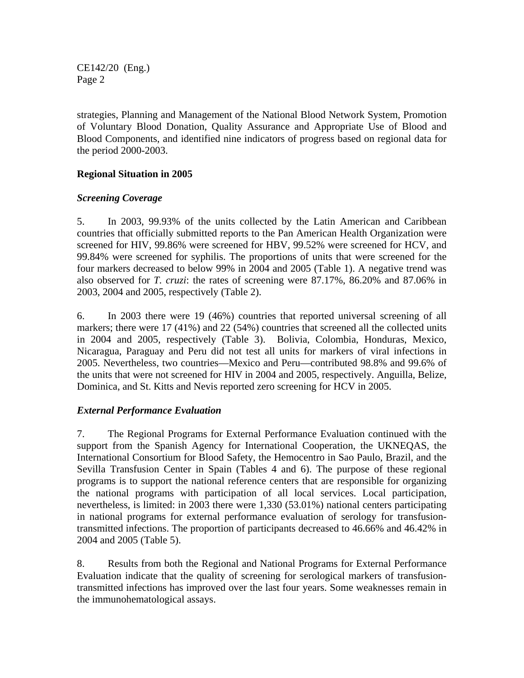CE142/20 (Eng.) Page 2

strategies, Planning and Management of the National Blood Network System, Promotion of Voluntary Blood Donation, Quality Assurance and Appropriate Use of Blood and Blood Components, and identified nine indicators of progress based on regional data for the period 2000-2003.

# **Regional Situation in 2005**

# *Screening Coverage*

5. In 2003, 99.93% of the units collected by the Latin American and Caribbean countries that officially submitted reports to the Pan American Health Organization were screened for HIV, 99.86% were screened for HBV, 99.52% were screened for HCV, and 99.84% were screened for syphilis. The proportions of units that were screened for the four markers decreased to below 99% in 2004 and 2005 (Table 1). A negative trend was also observed for *T. cruzi*: the rates of screening were 87.17%, 86.20% and 87.06% in 2003, 2004 and 2005, respectively (Table 2).

6. In 2003 there were 19 (46%) countries that reported universal screening of all markers; there were 17 (41%) and 22 (54%) countries that screened all the collected units in 2004 and 2005, respectively (Table 3). Bolivia, Colombia, Honduras, Mexico, Nicaragua, Paraguay and Peru did not test all units for markers of viral infections in 2005. Nevertheless, two countries—Mexico and Peru—contributed 98.8% and 99.6% of the units that were not screened for HIV in 2004 and 2005, respectively. Anguilla, Belize, Dominica, and St. Kitts and Nevis reported zero screening for HCV in 2005.

# *External Performance Evaluation*

7. The Regional Programs for External Performance Evaluation continued with the support from the Spanish Agency for International Cooperation, the UKNEQAS, the International Consortium for Blood Safety, the Hemocentro in Sao Paulo, Brazil, and the Sevilla Transfusion Center in Spain (Tables 4 and 6). The purpose of these regional programs is to support the national reference centers that are responsible for organizing the national programs with participation of all local services. Local participation, nevertheless, is limited: in 2003 there were 1,330 (53.01%) national centers participating in national programs for external performance evaluation of serology for transfusiontransmitted infections. The proportion of participants decreased to 46.66% and 46.42% in 2004 and 2005 (Table 5).

8. Results from both the Regional and National Programs for External Performance Evaluation indicate that the quality of screening for serological markers of transfusiontransmitted infections has improved over the last four years. Some weaknesses remain in the immunohematological assays.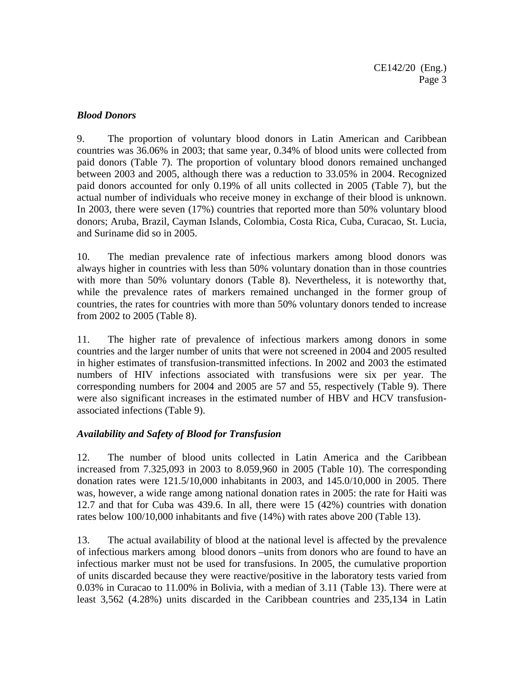# *Blood Donors*

9. The proportion of voluntary blood donors in Latin American and Caribbean countries was 36.06% in 2003; that same year, 0.34% of blood units were collected from paid donors (Table 7). The proportion of voluntary blood donors remained unchanged between 2003 and 2005, although there was a reduction to 33.05% in 2004. Recognized paid donors accounted for only 0.19% of all units collected in 2005 (Table 7), but the actual number of individuals who receive money in exchange of their blood is unknown. In 2003, there were seven (17%) countries that reported more than 50% voluntary blood donors; Aruba, Brazil, Cayman Islands, Colombia, Costa Rica, Cuba, Curacao, St. Lucia, and Suriname did so in 2005.

10. The median prevalence rate of infectious markers among blood donors was always higher in countries with less than 50% voluntary donation than in those countries with more than 50% voluntary donors (Table 8). Nevertheless, it is noteworthy that, while the prevalence rates of markers remained unchanged in the former group of countries, the rates for countries with more than 50% voluntary donors tended to increase from 2002 to 2005 (Table 8).

11. The higher rate of prevalence of infectious markers among donors in some countries and the larger number of units that were not screened in 2004 and 2005 resulted in higher estimates of transfusion-transmitted infections. In 2002 and 2003 the estimated numbers of HIV infections associated with transfusions were six per year. The corresponding numbers for 2004 and 2005 are 57 and 55, respectively (Table 9). There were also significant increases in the estimated number of HBV and HCV transfusionassociated infections (Table 9).

# *Availability and Safety of Blood for Transfusion*

12. The number of blood units collected in Latin America and the Caribbean increased from 7.325,093 in 2003 to 8.059,960 in 2005 (Table 10). The corresponding donation rates were 121.5/10,000 inhabitants in 2003, and 145.0/10,000 in 2005. There was, however, a wide range among national donation rates in 2005: the rate for Haiti was 12.7 and that for Cuba was 439.6. In all, there were 15 (42%) countries with donation rates below 100/10,000 inhabitants and five (14%) with rates above 200 (Table 13).

13. The actual availability of blood at the national level is affected by the prevalence of infectious markers among blood donors –units from donors who are found to have an infectious marker must not be used for transfusions. In 2005, the cumulative proportion of units discarded because they were reactive/positive in the laboratory tests varied from 0.03% in Curacao to 11.00% in Bolivia, with a median of 3.11 (Table 13). There were at least 3,562 (4.28%) units discarded in the Caribbean countries and 235,134 in Latin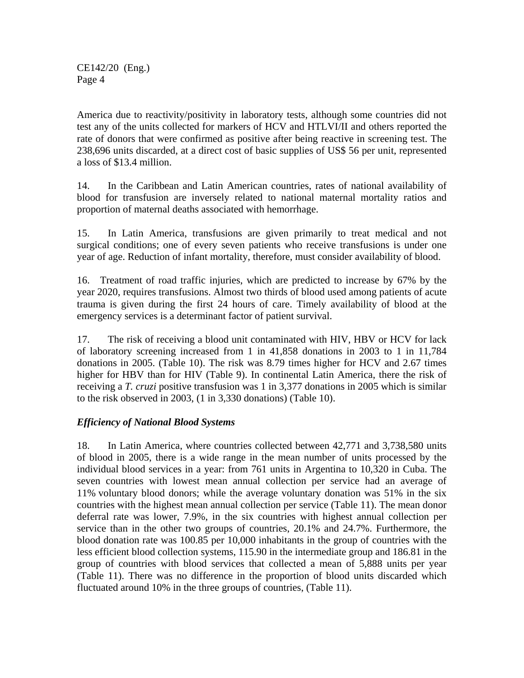CE142/20 (Eng.) Page 4

America due to reactivity/positivity in laboratory tests, although some countries did not test any of the units collected for markers of HCV and HTLVI/II and others reported the rate of donors that were confirmed as positive after being reactive in screening test. The 238,696 units discarded, at a direct cost of basic supplies of US\$ 56 per unit, represented a loss of \$13.4 million.

14. In the Caribbean and Latin American countries, rates of national availability of blood for transfusion are inversely related to national maternal mortality ratios and proportion of maternal deaths associated with hemorrhage.

15. In Latin America, transfusions are given primarily to treat medical and not surgical conditions; one of every seven patients who receive transfusions is under one year of age. Reduction of infant mortality, therefore, must consider availability of blood.

16. Treatment of road traffic injuries, which are predicted to increase by 67% by the year 2020, requires transfusions. Almost two thirds of blood used among patients of acute trauma is given during the first 24 hours of care. Timely availability of blood at the emergency services is a determinant factor of patient survival.

17. The risk of receiving a blood unit contaminated with HIV, HBV or HCV for lack of laboratory screening increased from 1 in 41,858 donations in 2003 to 1 in 11,784 donations in 2005. (Table 10). The risk was 8.79 times higher for HCV and 2.67 times higher for HBV than for HIV (Table 9). In continental Latin America, there the risk of receiving a *T. cruzi* positive transfusion was 1 in 3,377 donations in 2005 which is similar to the risk observed in 2003, (1 in 3,330 donations) (Table 10).

# *Efficiency of National Blood Systems*

18. In Latin America, where countries collected between 42,771 and 3,738,580 units of blood in 2005, there is a wide range in the mean number of units processed by the individual blood services in a year: from 761 units in Argentina to 10,320 in Cuba. The seven countries with lowest mean annual collection per service had an average of 11% voluntary blood donors; while the average voluntary donation was 51% in the six countries with the highest mean annual collection per service (Table 11). The mean donor deferral rate was lower, 7.9%, in the six countries with highest annual collection per service than in the other two groups of countries, 20.1% and 24.7%. Furthermore, the blood donation rate was 100.85 per 10,000 inhabitants in the group of countries with the less efficient blood collection systems, 115.90 in the intermediate group and 186.81 in the group of countries with blood services that collected a mean of 5,888 units per year (Table 11). There was no difference in the proportion of blood units discarded which fluctuated around 10% in the three groups of countries, (Table 11).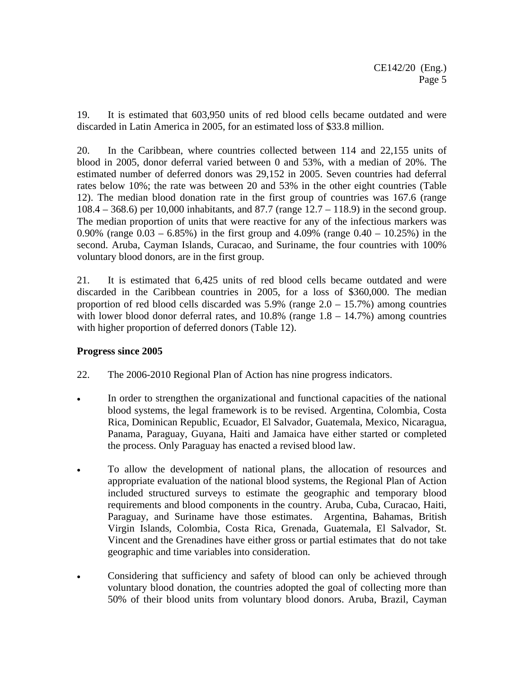19. It is estimated that 603,950 units of red blood cells became outdated and were discarded in Latin America in 2005, for an estimated loss of \$33.8 million.

20. In the Caribbean, where countries collected between 114 and 22,155 units of blood in 2005, donor deferral varied between 0 and 53%, with a median of 20%. The estimated number of deferred donors was 29,152 in 2005. Seven countries had deferral rates below 10%; the rate was between 20 and 53% in the other eight countries (Table 12). The median blood donation rate in the first group of countries was 167.6 (range 108.4 – 368.6) per 10,000 inhabitants, and 87.7 (range 12.7 – 118.9) in the second group. The median proportion of units that were reactive for any of the infectious markers was 0.90% (range  $0.03 - 6.85\%$ ) in the first group and 4.09% (range  $0.40 - 10.25\%$ ) in the second. Aruba, Cayman Islands, Curacao, and Suriname, the four countries with 100% voluntary blood donors, are in the first group.

21. It is estimated that 6,425 units of red blood cells became outdated and were discarded in the Caribbean countries in 2005, for a loss of \$360,000. The median proportion of red blood cells discarded was 5.9% (range 2.0 – 15.7%) among countries with lower blood donor deferral rates, and  $10.8\%$  (range  $1.8 - 14.7\%$ ) among countries with higher proportion of deferred donors (Table 12).

# **Progress since 2005**

- 22. The 2006-2010 Regional Plan of Action has nine progress indicators.
- In order to strengthen the organizational and functional capacities of the national blood systems, the legal framework is to be revised. Argentina, Colombia, Costa Rica, Dominican Republic, Ecuador, El Salvador, Guatemala, Mexico, Nicaragua, Panama, Paraguay, Guyana, Haiti and Jamaica have either started or completed the process. Only Paraguay has enacted a revised blood law.
- To allow the development of national plans, the allocation of resources and appropriate evaluation of the national blood systems, the Regional Plan of Action included structured surveys to estimate the geographic and temporary blood requirements and blood components in the country. Aruba, Cuba, Curacao, Haiti, Paraguay, and Suriname have those estimates. Argentina, Bahamas, British Virgin Islands, Colombia, Costa Rica, Grenada, Guatemala, El Salvador, St. Vincent and the Grenadines have either gross or partial estimates that do not take geographic and time variables into consideration.
- Considering that sufficiency and safety of blood can only be achieved through voluntary blood donation, the countries adopted the goal of collecting more than 50% of their blood units from voluntary blood donors. Aruba, Brazil, Cayman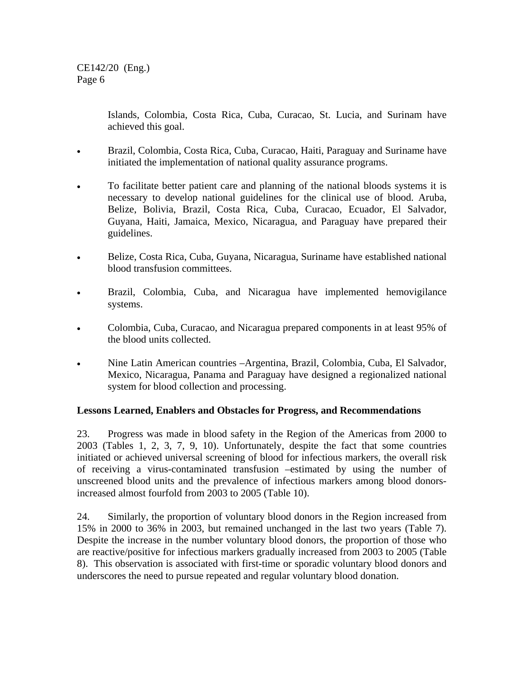Islands, Colombia, Costa Rica, Cuba, Curacao, St. Lucia, and Surinam have achieved this goal.

- Brazil, Colombia, Costa Rica, Cuba, Curacao, Haiti, Paraguay and Suriname have initiated the implementation of national quality assurance programs.
- To facilitate better patient care and planning of the national bloods systems it is necessary to develop national guidelines for the clinical use of blood. Aruba, Belize, Bolivia, Brazil, Costa Rica, Cuba, Curacao, Ecuador, El Salvador, Guyana, Haiti, Jamaica, Mexico, Nicaragua, and Paraguay have prepared their guidelines.
- Belize, Costa Rica, Cuba, Guyana, Nicaragua, Suriname have established national blood transfusion committees.
- Brazil, Colombia, Cuba, and Nicaragua have implemented hemovigilance systems.
- Colombia, Cuba, Curacao, and Nicaragua prepared components in at least 95% of the blood units collected.
- Nine Latin American countries –Argentina, Brazil, Colombia, Cuba, El Salvador, Mexico, Nicaragua, Panama and Paraguay have designed a regionalized national system for blood collection and processing.

# **Lessons Learned, Enablers and Obstacles for Progress, and Recommendations**

23. Progress was made in blood safety in the Region of the Americas from 2000 to 2003 (Tables 1, 2, 3, 7, 9, 10). Unfortunately, despite the fact that some countries initiated or achieved universal screening of blood for infectious markers, the overall risk of receiving a virus-contaminated transfusion –estimated by using the number of unscreened blood units and the prevalence of infectious markers among blood donorsincreased almost fourfold from 2003 to 2005 (Table 10).

24. Similarly, the proportion of voluntary blood donors in the Region increased from 15% in 2000 to 36% in 2003, but remained unchanged in the last two years (Table 7). Despite the increase in the number voluntary blood donors, the proportion of those who are reactive/positive for infectious markers gradually increased from 2003 to 2005 (Table 8). This observation is associated with first-time or sporadic voluntary blood donors and underscores the need to pursue repeated and regular voluntary blood donation.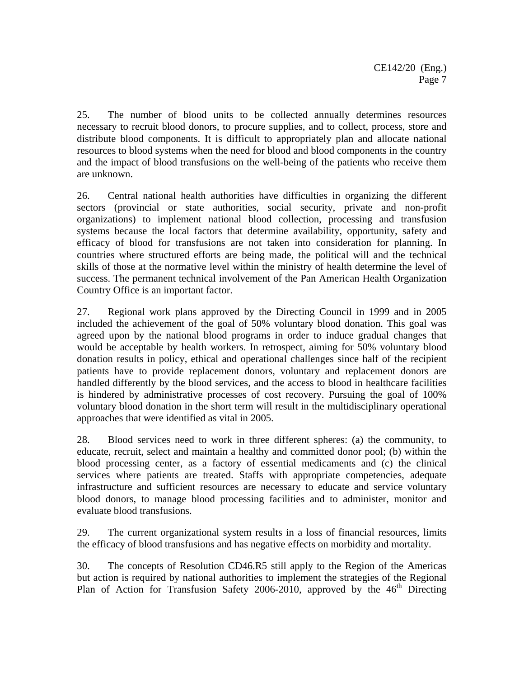25. The number of blood units to be collected annually determines resources necessary to recruit blood donors, to procure supplies, and to collect, process, store and distribute blood components. It is difficult to appropriately plan and allocate national resources to blood systems when the need for blood and blood components in the country and the impact of blood transfusions on the well-being of the patients who receive them are unknown.

26. Central national health authorities have difficulties in organizing the different sectors (provincial or state authorities, social security, private and non-profit organizations) to implement national blood collection, processing and transfusion systems because the local factors that determine availability, opportunity, safety and efficacy of blood for transfusions are not taken into consideration for planning. In countries where structured efforts are being made, the political will and the technical skills of those at the normative level within the ministry of health determine the level of success. The permanent technical involvement of the Pan American Health Organization Country Office is an important factor.

27. Regional work plans approved by the Directing Council in 1999 and in 2005 included the achievement of the goal of 50% voluntary blood donation. This goal was agreed upon by the national blood programs in order to induce gradual changes that would be acceptable by health workers. In retrospect, aiming for 50% voluntary blood donation results in policy, ethical and operational challenges since half of the recipient patients have to provide replacement donors, voluntary and replacement donors are handled differently by the blood services, and the access to blood in healthcare facilities is hindered by administrative processes of cost recovery. Pursuing the goal of 100% voluntary blood donation in the short term will result in the multidisciplinary operational approaches that were identified as vital in 2005.

28. Blood services need to work in three different spheres: (a) the community, to educate, recruit, select and maintain a healthy and committed donor pool; (b) within the blood processing center, as a factory of essential medicaments and (c) the clinical services where patients are treated. Staffs with appropriate competencies, adequate infrastructure and sufficient resources are necessary to educate and service voluntary blood donors, to manage blood processing facilities and to administer, monitor and evaluate blood transfusions.

29. The current organizational system results in a loss of financial resources, limits the efficacy of blood transfusions and has negative effects on morbidity and mortality.

30. The concepts of Resolution CD46.R5 still apply to the Region of the Americas but action is required by national authorities to implement the strategies of the Regional Plan of Action for Transfusion Safety 2006-2010, approved by the  $46<sup>th</sup>$  Directing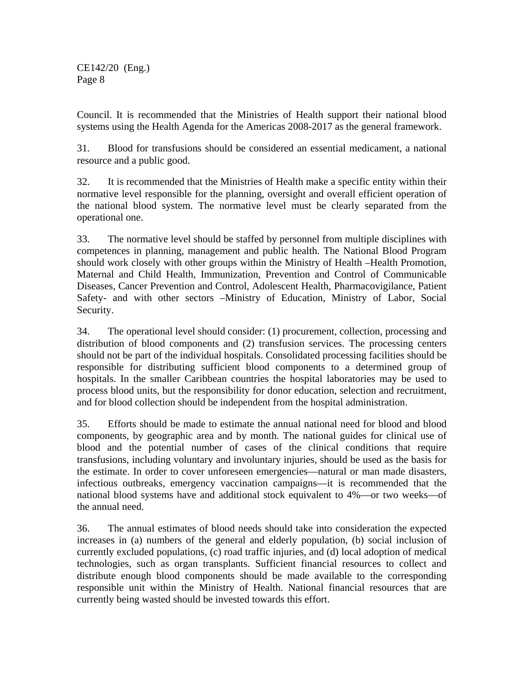CE142/20 (Eng.) Page 8

Council. It is recommended that the Ministries of Health support their national blood systems using the Health Agenda for the Americas 2008-2017 as the general framework.

31. Blood for transfusions should be considered an essential medicament, a national resource and a public good.

32. It is recommended that the Ministries of Health make a specific entity within their normative level responsible for the planning, oversight and overall efficient operation of the national blood system. The normative level must be clearly separated from the operational one.

33. The normative level should be staffed by personnel from multiple disciplines with competences in planning, management and public health. The National Blood Program should work closely with other groups within the Ministry of Health –Health Promotion, Maternal and Child Health, Immunization, Prevention and Control of Communicable Diseases, Cancer Prevention and Control, Adolescent Health, Pharmacovigilance, Patient Safety- and with other sectors –Ministry of Education, Ministry of Labor, Social Security.

34. The operational level should consider: (1) procurement, collection, processing and distribution of blood components and (2) transfusion services. The processing centers should not be part of the individual hospitals. Consolidated processing facilities should be responsible for distributing sufficient blood components to a determined group of hospitals. In the smaller Caribbean countries the hospital laboratories may be used to process blood units, but the responsibility for donor education, selection and recruitment, and for blood collection should be independent from the hospital administration.

35. Efforts should be made to estimate the annual national need for blood and blood components, by geographic area and by month. The national guides for clinical use of blood and the potential number of cases of the clinical conditions that require transfusions, including voluntary and involuntary injuries, should be used as the basis for the estimate. In order to cover unforeseen emergencies—natural or man made disasters, infectious outbreaks, emergency vaccination campaigns—it is recommended that the national blood systems have and additional stock equivalent to 4%—or two weeks—of the annual need.

36. The annual estimates of blood needs should take into consideration the expected increases in (a) numbers of the general and elderly population, (b) social inclusion of currently excluded populations, (c) road traffic injuries, and (d) local adoption of medical technologies, such as organ transplants. Sufficient financial resources to collect and distribute enough blood components should be made available to the corresponding responsible unit within the Ministry of Health. National financial resources that are currently being wasted should be invested towards this effort.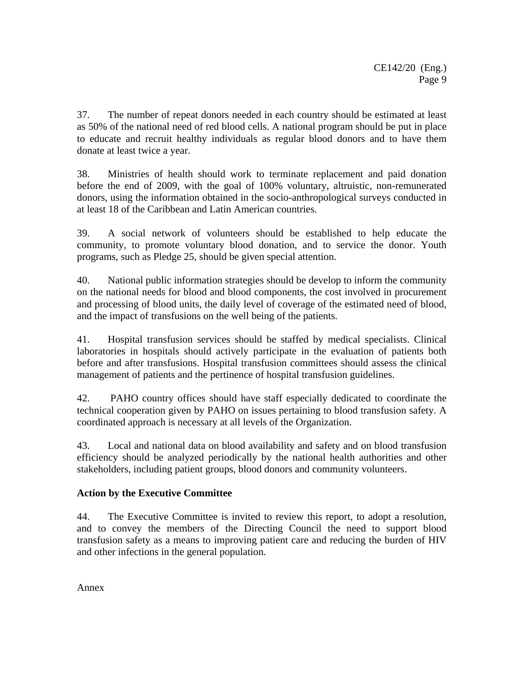37. The number of repeat donors needed in each country should be estimated at least as 50% of the national need of red blood cells. A national program should be put in place to educate and recruit healthy individuals as regular blood donors and to have them donate at least twice a year.

38. Ministries of health should work to terminate replacement and paid donation before the end of 2009, with the goal of 100% voluntary, altruistic, non-remunerated donors, using the information obtained in the socio-anthropological surveys conducted in at least 18 of the Caribbean and Latin American countries.

39. A social network of volunteers should be established to help educate the community, to promote voluntary blood donation, and to service the donor. Youth programs, such as Pledge 25, should be given special attention.

40. National public information strategies should be develop to inform the community on the national needs for blood and blood components, the cost involved in procurement and processing of blood units, the daily level of coverage of the estimated need of blood, and the impact of transfusions on the well being of the patients.

41. Hospital transfusion services should be staffed by medical specialists. Clinical laboratories in hospitals should actively participate in the evaluation of patients both before and after transfusions. Hospital transfusion committees should assess the clinical management of patients and the pertinence of hospital transfusion guidelines.

42. PAHO country offices should have staff especially dedicated to coordinate the technical cooperation given by PAHO on issues pertaining to blood transfusion safety. A coordinated approach is necessary at all levels of the Organization.

43. Local and national data on blood availability and safety and on blood transfusion efficiency should be analyzed periodically by the national health authorities and other stakeholders, including patient groups, blood donors and community volunteers.

# **Action by the Executive Committee**

44. The Executive Committee is invited to review this report, to adopt a resolution, and to convey the members of the Directing Council the need to support blood transfusion safety as a means to improving patient care and reducing the burden of HIV and other infections in the general population.

Annex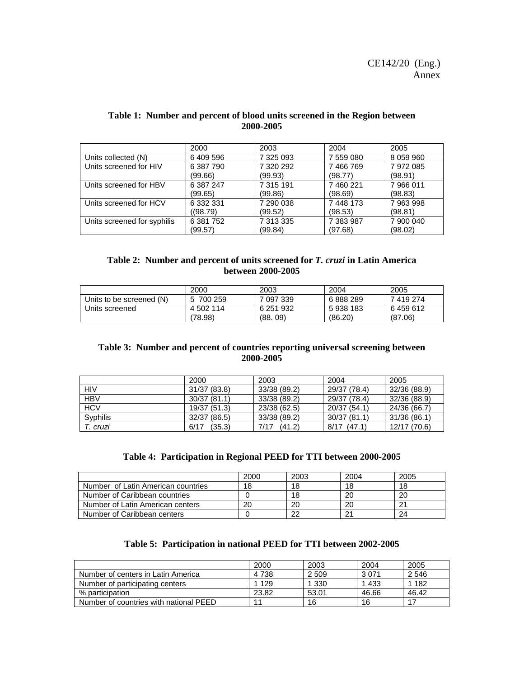|                             | 2000      | 2003      | 2004      | 2005      |
|-----------------------------|-----------|-----------|-----------|-----------|
| Units collected (N)         | 6409596   | 7 325 093 | 7 559 080 | 8 059 960 |
| Units screened for HIV      | 6 387 790 | 7 320 292 | 7466769   | 7972085   |
|                             | (99.66)   | (99.93)   | (98.77)   | (98.91)   |
| Units screened for HBV      | 6 387 247 | 7 315 191 | 7 460 221 | 7966011   |
|                             | (99.65)   | (99.86)   | (98.69)   | (98.83)   |
| Units screened for HCV      | 6 332 331 | 7 290 038 | 7 448 173 | 7 963 998 |
|                             | ((98.79)  | (99.52)   | (98.53)   | (98.81)   |
| Units screened for syphilis | 6 381 752 | 7 313 335 | 7 383 987 | 7 900 040 |
|                             | (99.57)   | (99.84)   | (97.68)   | (98.02)   |

#### **Table 1: Number and percent of blood units screened in the Region between 2000-2005**

#### **Table 2: Number and percent of units screened for** *T. cruzi* **in Latin America between 2000-2005**

|                          | 2000      | 2003      | 2004    | 2005    |
|--------------------------|-----------|-----------|---------|---------|
| Units to be screened (N) | 700 259   | 7 097 339 | 6888289 | 7419274 |
| Units screened           | 4 502 114 | 6 251 932 | 5938183 | 6459612 |
|                          | (78.98)   | (88, 09)  | (86.20) | (87.06) |

#### **Table 3: Number and percent of countries reporting universal screening between 2000-2005**

|            | 2000           | 2003           | 2004           | 2005         |
|------------|----------------|----------------|----------------|--------------|
| HIV        | 31/37 (83.8)   | 33/38 (89.2)   | 29/37 (78.4)   | 32/36 (88.9) |
| <b>HBV</b> | 30/37(81.1)    | 33/38 (89.2)   | 29/37 (78.4)   | 32/36 (88.9) |
| <b>HCV</b> | 19/37 (51.3)   | 23/38 (62.5)   | 20/37 (54.1)   | 24/36 (66.7) |
| Syphilis   | 32/37 (86.5)   | 33/38 (89.2)   | 30/37(81.1)    | 31/36 (86.1) |
| T. cruzi   | (35.3)<br>6/17 | (41.2)<br>7/17 | 8/17<br>(47.1) | 12/17 (70.6) |

#### **Table 4: Participation in Regional PEED for TTI between 2000-2005**

|                                    | 2000 | 2003 | 2004 | 2005 |
|------------------------------------|------|------|------|------|
| Number of Latin American countries | 18   | 18   | 18   | 18   |
| Number of Caribbean countries      |      | 18   | 20   | 20   |
| Number of Latin American centers   | 20   | 20   | 20   | 21   |
| Number of Caribbean centers        |      | 22   |      | 24   |

### **Table 5: Participation in national PEED for TTI between 2002-2005**

|                                        | 2000    | 2003    | 2004    | 2005    |
|----------------------------------------|---------|---------|---------|---------|
| Number of centers in Latin America     | 4 7 3 8 | 2 5 0 9 | 3 0 7 1 | 2 5 4 6 |
| Number of participating centers        | 1 1 2 9 | 1 3 3 0 | 1 4 3 3 | 1 182   |
| % participation                        | 23.82   | 53.01   | 46.66   | 46.42   |
| Number of countries with national PEED | 11      | 16      | 16      |         |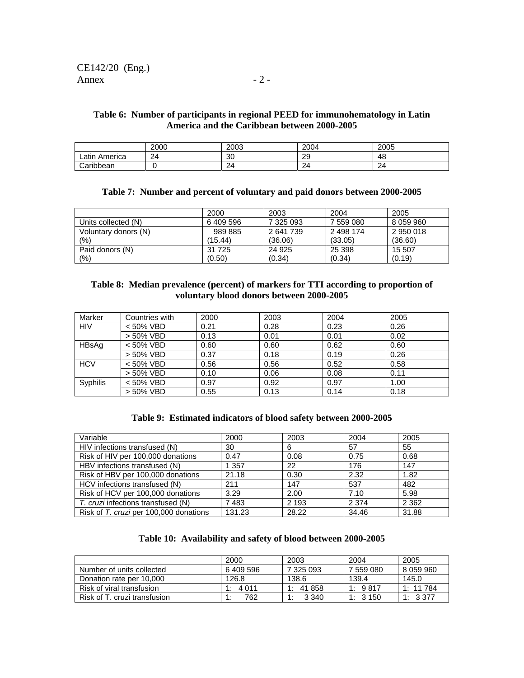#### **Table 6: Number of participants in regional PEED for immunohematology in Latin America and the Caribbean between 2000-2005**

|                  | 2000 | 2003 | 2004 | 2005 |
|------------------|------|------|------|------|
| Latin<br>America | 24   | 30   | 29   | 48   |
| Caribbean        |      | 24   | 24   | 24   |

#### **Table 7: Number and percent of voluntary and paid donors between 2000-2005**

|                      | 2000      | 2003      | 2004      | 2005      |
|----------------------|-----------|-----------|-----------|-----------|
| Units collected (N)  | 6 409 596 | 7 325 093 | 7 559 080 | 8 059 960 |
| Voluntary donors (N) | 989 885   | 2641739   | 2 498 174 | 2950018   |
| (%)                  | (15.44)   | (36.06)   | (33.05)   | (36.60)   |
| Paid donors (N)      | 31 725    | 24 9 25   | 25 398    | 15 507    |
| (%)                  | (0.50)    | (0.34)    | (0.34)    | (0.19)    |

#### **Table 8: Median prevalence (percent) of markers for TTI according to proportion of voluntary blood donors between 2000-2005**

| Marker     | Countries with | 2000 | 2003 | 2004 | 2005 |
|------------|----------------|------|------|------|------|
| <b>HIV</b> | $< 50\%$ VBD   | 0.21 | 0.28 | 0.23 | 0.26 |
|            | > 50% VBD      | 0.13 | 0.01 | 0.01 | 0.02 |
| HBsAg      | < 50% VBD      | 0.60 | 0.60 | 0.62 | 0.60 |
|            | > 50% VBD      | 0.37 | 0.18 | 0.19 | 0.26 |
| <b>HCV</b> | < 50% VBD      | 0.56 | 0.56 | 0.52 | 0.58 |
|            | > 50% VBD      | 0.10 | 0.06 | 0.08 | 0.11 |
| Syphilis   | < 50% VBD      | 0.97 | 0.92 | 0.97 | 1.00 |
|            | > 50% VBD      | 0.55 | 0.13 | 0.14 | 0.18 |

#### **Table 9: Estimated indicators of blood safety between 2000-2005**

| Variable                               | 2000    | 2003    | 2004    | 2005    |
|----------------------------------------|---------|---------|---------|---------|
| HIV infections transfused (N)          | 30      | 6       | 57      | 55      |
| Risk of HIV per 100,000 donations      | 0.47    | 0.08    | 0.75    | 0.68    |
| HBV infections transfused (N)          | 1 3 5 7 | 22      | 176     | 147     |
| Risk of HBV per 100,000 donations      | 21.18   | 0.30    | 2.32    | 1.82    |
| HCV infections transfused (N)          | 211     | 147     | 537     | 482     |
| Risk of HCV per 100,000 donations      | 3.29    | 2.00    | 7.10    | 5.98    |
| T. cruzi infections transfused (N)     | 7483    | 2 1 9 3 | 2 3 7 4 | 2 3 6 2 |
| Risk of T. cruzi per 100,000 donations | 131.23  | 28.22   | 34.46   | 31.88   |

#### **Table 10: Availability and safety of blood between 2000-2005**

|                              | 2000      | 2003           | 2004      | 2005      |
|------------------------------|-----------|----------------|-----------|-----------|
| Number of units collected    | 6 409 596 | 7 325 093      | 7 559 080 | 8 059 960 |
| Donation rate per 10,000     | 126.8     | 138.6          | 139.4     | 145.0     |
| Risk of viral transfusion    | 1:4011    | 1: 41858       | 1:9817    | 1: 11784  |
| Risk of T. cruzi transfusion | 762       | 3 3 4 0<br>. . | 1:3150    | 1: 3.377  |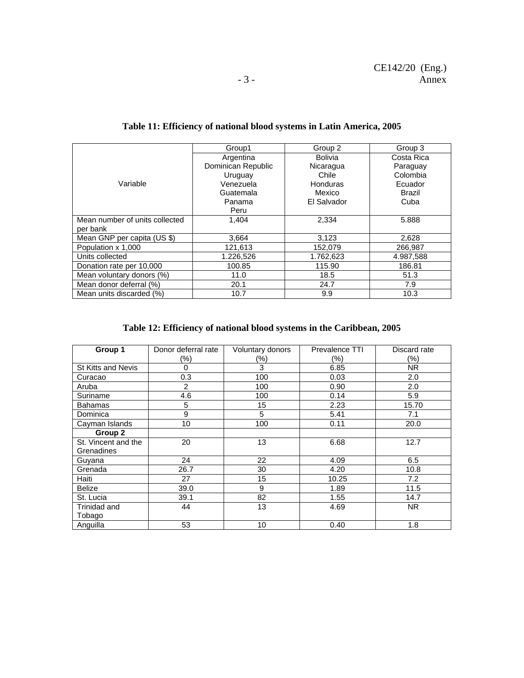|                                | Group1             | Group 2        | Group 3    |
|--------------------------------|--------------------|----------------|------------|
|                                | Argentina          | <b>Bolivia</b> | Costa Rica |
|                                | Dominican Republic | Nicaragua      | Paraguay   |
|                                | Uruguay            | Chile          | Colombia   |
| Variable                       | Venezuela          | Honduras       | Ecuador    |
|                                | Guatemala          | Mexico         | Brazil     |
|                                | Panama             | El Salvador    | Cuba       |
|                                | Peru               |                |            |
| Mean number of units collected | 1.404              | 2,334          | 5.888      |
| per bank                       |                    |                |            |
| Mean GNP per capita (US \$)    | 3.664              | 3,123          | 2,628      |
| Population x 1,000             | 121,613            | 152,079        | 266,987    |
| Units collected                | 1.226,526          | 1.762,623      | 4.987,588  |
| Donation rate per 10,000       | 100.85             | 115.90         | 186.81     |
| Mean voluntary donors (%)      | 11.0               | 18.5           | 51.3       |
| Mean donor deferral (%)        | 20.1               | 24.7           | 7.9        |
| Mean units discarded (%)       | 10.7               | 9.9            | 10.3       |

# **Table 11: Efficiency of national blood systems in Latin America, 2005**

# **Table 12: Efficiency of national blood systems in the Caribbean, 2005**

| Group 1                   | Donor deferral rate | Voluntary donors | <b>Prevalence TTI</b> | Discard rate   |
|---------------------------|---------------------|------------------|-----------------------|----------------|
|                           | (%)                 | (%)              | (%)                   | $(\%)$         |
| <b>St Kitts and Nevis</b> | 0                   | 3                | 6.85                  | N <sub>R</sub> |
| Curacao                   | 0.3                 | 100              | 0.03                  | 2.0            |
| Aruba                     | $\overline{2}$      | 100              | 0.90                  | 2.0            |
| Suriname                  | 4.6                 | 100              | 0.14                  | 5.9            |
| <b>Bahamas</b>            | 5                   | 15               | 2.23                  | 15.70          |
| Dominica                  | 9                   | 5                | 5.41                  | 7.1            |
| Cayman Islands            | 10                  | 100              | 0.11                  | 20.0           |
| Group 2                   |                     |                  |                       |                |
| St. Vincent and the       | 20                  | 13               | 6.68                  | 12.7           |
| Grenadines                |                     |                  |                       |                |
| Guyana                    | 24                  | 22               | 4.09                  | 6.5            |
| Grenada                   | 26.7                | 30               | 4.20                  | 10.8           |
| Haiti                     | 27                  | 15               | 10.25                 | 7.2            |
| <b>Belize</b>             | 39.0                | 9                | 1.89                  | 11.5           |
| St. Lucia                 | 39.1                | 82               | 1.55                  | 14.7           |
| Trinidad and              | 44                  | 13               | 4.69                  | NR.            |
| Tobago                    |                     |                  |                       |                |
| Anguilla                  | 53                  | 10               | 0.40                  | 1.8            |